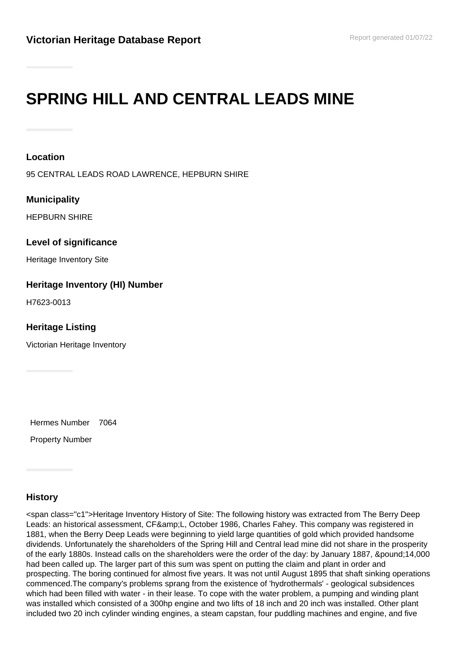# **SPRING HILL AND CENTRAL LEADS MINE**

#### **Location**

95 CENTRAL LEADS ROAD LAWRENCE, HEPBURN SHIRE

#### **Municipality**

HEPBURN SHIRE

#### **Level of significance**

Heritage Inventory Site

### **Heritage Inventory (HI) Number**

H7623-0013

#### **Heritage Listing**

Victorian Heritage Inventory

Hermes Number 7064

Property Number

## **History**

<span class="c1">Heritage Inventory History of Site: The following history was extracted from The Berry Deep Leads: an historical assessment, CF&L, October 1986, Charles Fahey. This company was registered in 1881, when the Berry Deep Leads were beginning to yield large quantities of gold which provided handsome dividends. Unfortunately the shareholders of the Spring Hill and Central lead mine did not share in the prosperity of the early 1880s. Instead calls on the shareholders were the order of the day: by January 1887, £14,000 had been called up. The larger part of this sum was spent on putting the claim and plant in order and prospecting. The boring continued for almost five years. It was not until August 1895 that shaft sinking operations commenced.The company's problems sprang from the existence of 'hydrothermals' - geological subsidences which had been filled with water - in their lease. To cope with the water problem, a pumping and winding plant was installed which consisted of a 300hp engine and two lifts of 18 inch and 20 inch was installed. Other plant included two 20 inch cylinder winding engines, a steam capstan, four puddling machines and engine, and five